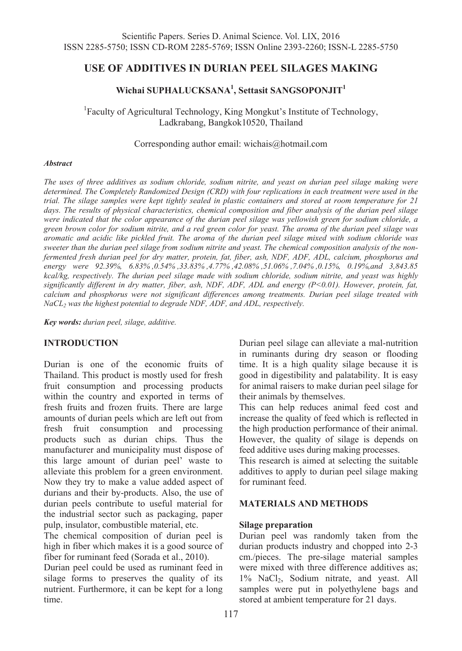## **USE OF ADDITIVES IN DURIAN PEEL SILAGES MAKING**

# **Wichai SUPHALUCKSANA1 , Settasit SANGSOPONJIT1**

<sup>1</sup> Faculty of Agricultural Technology, King Mongkut's Institute of Technology, Ladkrabang, Bangkok10520, Thailand

Corresponding author email: wichais@hotmail.com

#### *Abstract*

*The uses of three additives as sodium chloride, sodium nitrite, and yeast on durian peel silage making were determined. The Completely Randomized Design (CRD) with four replications in each treatment were used in the trial. The silage samples were kept tightly sealed in plastic containers and stored at room temperature for 21 days. The results of physical characteristics, chemical composition and fiber analysis of the durian peel silage were indicated that the color appearance of the durian peel silage was yellowish green for sodium chloride, a green brown color for sodium nitrite, and a red green color for yeast. The aroma of the durian peel silage was aromatic and acidic like pickled fruit. The aroma of the durian peel silage mixed with sodium chloride was sweeter than the durian peel silage from sodium nitrite and yeast. The chemical composition analysis of the nonfermented fresh durian peel for dry matter, protein, fat, fiber, ash, NDF, ADF, ADL, calcium, phosphorus and energy were 92.39%, 6.83% ,0.54% ,33.83% ,4.77% ,42.08% ,51.06% ,7.04% ,0.15%, 0.19%,and 3,843.85 kcal/kg, respectively. The durian peel silage made with sodium chloride, sodium nitrite, and yeast was highly significantly different in dry matter, fiber, ash, NDF, ADF, ADL and energy (P<0.01). However, protein, fat, calcium and phosphorus were not significant differences among treatments. Durian peel silage treated with NaCL<sub>2</sub> was the highest potential to degrade NDF, ADF, and ADL, respectively.* 

*Key words: durian peel, silage, additive.* 

#### **INTRODUCTION**

Durian is one of the economic fruits of Thailand. This product is mostly used for fresh fruit consumption and processing products within the country and exported in terms of fresh fruits and frozen fruits. There are large amounts of durian peels which are left out from fresh fruit consumption and processing products such as durian chips. Thus the manufacturer and municipality must dispose of this large amount of durian peel' waste to alleviate this problem for a green environment. Now they try to make a value added aspect of durians and their by-products. Also, the use of durian peels contribute to useful material for the industrial sector such as packaging, paper pulp, insulator, combustible material, etc.

The chemical composition of durian peel is high in fiber which makes it is a good source of fiber for ruminant feed (Sorada et al., 2010).

Durian peel could be used as ruminant feed in silage forms to preserves the quality of its nutrient. Furthermore, it can be kept for a long time.

Durian peel silage can alleviate a mal-nutrition in ruminants during dry season or flooding time. It is a high quality silage because it is good in digestibility and palatability. It is easy for animal raisers to make durian peel silage for their animals by themselves.

This can help reduces animal feed cost and increase the quality of feed which is reflected in the high production performance of their animal. However, the quality of silage is depends on feed additive uses during making processes.

This research is aimed at selecting the suitable additives to apply to durian peel silage making for ruminant feed.

### **MATERIALS AND METHODS**

#### **Silage preparation**

Durian peel was randomly taken from the durian products industry and chopped into 2-3 cm./pieces. The pre-silage material samples were mixed with three difference additives as; 1% NaCl2, Sodium nitrate, and yeast. All samples were put in polyethylene bags and stored at ambient temperature for 21 days.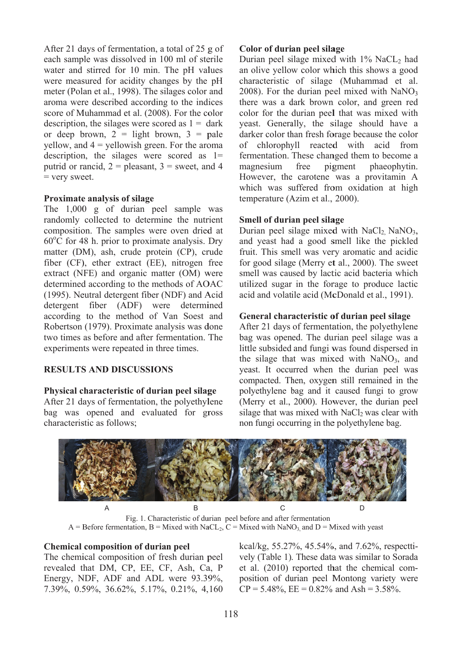After 21 days of fermentation, a total of 25 g of each sample was dissolved in 100 ml of sterile water and stirred for 10 min. The pH values were measured for acidity changes by the pH meter (Polan et al., 1998). The silages color and aroma were described according to the indices score of Muhammad et al. (2008). For the color description, the silages were scored as  $1 = \text{dark}$ or deep brown,  $2 =$  light brown,  $3 =$  pale yellow, and 4 = yellowish green. For the aroma description, the silages were scored as  $1=$ putrid or rancid,  $2 =$  pleasant,  $3 =$  sweet, and 4 = very sweet.

## Proximate analysis of silage

The 1,000 g of durian peel sample was randomly collected to determine the nutrient composition. The samples were oven dried at 60°C for 48 h. prior to proximate analysis. Dry matter (DM), ash, crude protein (CP), crude fiber (CF), ether extract (EE), nitrogen free extract (NFE) and organic matter (OM) were determined according to the methods of AOAC (1995). Neutral detergent fiber (NDF) and Acid detergent fiber (ADF) were determined according to the method of Van Soest and Robertson (1979). Proximate analysis was done two times as before and after fermentation. The experiments were repeated in three times.

## **RESULTS AND DISCUSSIONS**

#### Physical characteristic of durian peel silage

After 21 days of fermentation, the polyethylene bag was opened and evaluated for gross characteristic as follows;

## **Co olor of duria an peel sila age**

Durian peel silage mixed with 1% NaCL2 had an olive yellow color which this shows a good cha aracteristic of silage (Muhamm mad et al. 2008). For the durian peel mixed with NaNO<sub>3</sub> there was a dark brown color, and green red color for the durian peel that was mixed with yeast. Generally, the silage should have a darker color than fresh forage because the color of chlorophyll reacted with acid from fermentation. These changed them to become a ma agnesium However, the carotene was a provitamin A which was suffered from oxidation at high tem mperature (A Azim et al., 2000). free pigment haeophytin. addod al. Dayd that a minimum and al. A ghandesement and as in a definition of the controller of the controller the time of the time the time that time time the time time the time  $\mu$ e**Table 1.** Nutrition value of fresh durian peel (%)

### **Sm mell of duria an peel sila age**

Durian peel silage mixed with NaCl<sub>2,</sub> NaNO<sub>3</sub>, and d yeast had d a good s smell like t the pickled fruit. This smell was very aromatic and acidic for good silage (Merry et al., 2000). The sweet smell was caused by lactic acid bacteria which utilized sugar in the forage to produce lactic acid and volatile acid (McDonald et al., 1991).

## **General characteristic of durian peel silage**

After 21 days of fermentation, the polyethylene bag was opened. The durian peel silage was a little subsided and fungi was found dispersed in the silage that was mixed with NaNO<sub>3</sub>, and yeast. It occurred when the durian peel was compacted. Then, oxygen still remained in the pol lyethylene b bag and it caused fun ngi to grow (M Merry et al., 2000). How wever, the durian peel silage that was mixed with NaCl<sub>2</sub> was clear with non fungi occurring in the polyethylene bag.



A = Before fermentation, B = Mixed with NaCL<sub>2</sub>, C = Mixed with NaNO<sub>3</sub>, and D = Mixed with yeast Fig. 1. Characteristic of durian peel before and after fermentation

## **Chemical compositio on of durian n peel**

The chemical composition of fresh durian peel revealed that DM, CP, EE, CF, Ash, Ca, P Energy, NDF, ADF and ADL were 93.39%, 7.39%, 0.5 59%, 36.62 2%, 5.17%, 0.21%, 4, 160 kcal/kg, 55.27%, 45.54%, and 7.62%, respecttively (Table 1). These data was similar to Sorada vely (Table 1). These data was similar to Sorada<br>et al. (2010) reported that the chemical composition of durian peel Montong variety were  $CP = 5.48\%, EE = 0.82\%$  and  $Ash = 3.58\%.$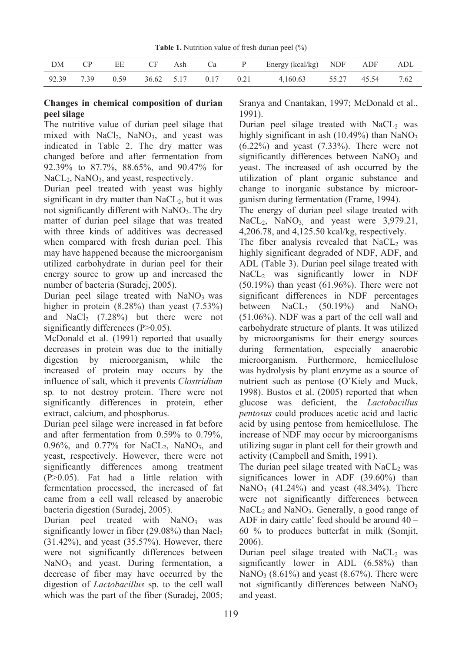| DM    | $\mathcal{C}$ | EE   | CF         | Ash |               | Ca P Energy (kcal/kg) NDF ADF |             | ADL  |
|-------|---------------|------|------------|-----|---------------|-------------------------------|-------------|------|
| 92.39 | 739           | 0.59 | 36.62 5.17 |     | $0.17$ $0.21$ | 4.160.63                      | 55.27 45.54 | 7.62 |

## **Changes in chemical composition of durian peel silage**

The nutritive value of durian peel silage that mixed with  $NaCl<sub>2</sub>$ ,  $NaNO<sub>3</sub>$ , and yeast was indicated in Table 2. The dry matter was changed before and after fermentation from 92.39% to 87.7%, 88.65%, and 90.47% for NaCL<sub>2</sub>, NaNO<sub>3</sub>, and yeast, respectively.

**EXAMPLE 1.** Table 1. Nutrition walves of fresh durian peel (%)<br>
DM CP EE CF Ash Ca<br>
2.39 7.39 0.59 36.62 5.17 0.17 0.21 4.41,608<br>
Changes in chemical composition of durian Scmya and Cmari<br>
peel slage that the state of du Durian peel treated with yeast was highly significant in dry matter than  $NaCL<sub>2</sub>$ , but it was not significantly different with  $NaNO<sub>3</sub>$ . The dry matter of durian peel silage that was treated with three kinds of additives was decreased when compared with fresh durian peel. This may have happened because the microorganism utilized carbohydrate in durian peel for their energy source to grow up and increased the number of bacteria (Suradej, 2005).

Durian peel silage treated with  $NaNO<sub>3</sub>$  was higher in protein (8.28%) than yeast (7.53%) and NaCl<sub>2</sub>  $(7.28\%)$  but there were not significantly differences (P>0.05).

McDonald et al. (1991) reported that usually decreases in protein was due to the initially digestion by microorganism, while the increased of protein may occurs by the influence of salt, which it prevents *Clostridium*  sp*.* to not destroy protein. There were not significantly differences in protein, ether extract, calcium, and phosphorus.

Durian peel silage were increased in fat before and after fermentation from 0.59% to 0.79%, 0.96%, and 0.77% for  $NaCL<sub>2</sub>$ ,  $NaNO<sub>3</sub>$ , and yeast, respectively. However, there were not significantly differences among treatment (P>0.05). Fat had a little relation with fermentation processed, the increased of fat came from a cell wall released by anaerobic bacteria digestion (Suradej, 2005).

Durian peel treated with  $NaNO<sub>3</sub>$  was significantly lower in fiber  $(29.08\%)$  than Nacl<sub>2</sub> (31.42%), and yeast (35.57%). However, there were not significantly differences between  $NaNO<sub>3</sub>$  and yeast. During fermentation, a decrease of fiber may have occurred by the digestion of *Lactobacillus* sp. to the cell wall which was the part of the fiber (Suradej, 2005; Sranya and Cnantakan, 1997; McDonald et al., 1991).

Durian peel silage treated with  $NaCL<sub>2</sub>$  was highly significant in ash  $(10.49\%)$  than NaNO<sub>3</sub> (6.22%) and yeast (7.33%). There were not significantly differences between  $NaNO<sub>3</sub>$  and yeast. The increased of ash occurred by the utilization of plant organic substance and change to inorganic substance by microorganism during fermentation (Frame, 1994).

The energy of durian peel silage treated with NaCL<sub>2</sub>, NaNO<sub>3</sub>, and yeast were  $3,979.21$ , 4,206.78, and 4,125.50 kcal/kg, respectively.

The fiber analysis revealed that  $NaCL<sub>2</sub>$  was highly significant degraded of NDF, ADF, and ADL (Table 3). Durian peel silage treated with  $NaCL<sub>2</sub>$  was significantly lower in NDF (50.19%) than yeast (61.96%). There were not significant differences in NDF percentages between  $NaCL<sub>2</sub>$  (50.19%) and  $NaNO<sub>3</sub>$ (51.06%). NDF was a part of the cell wall and carbohydrate structure of plants. It was utilized by microorganisms for their energy sources during fermentation, especially anaerobic microorganism. Furthermore, hemicellulose was hydrolysis by plant enzyme as a source of nutrient such as pentose (O'Kiely and Muck, 1998). Bustos et al. (2005) reported that when glucose was deficient, the *Lactobacillus pentosus* could produces acetic acid and lactic acid by using pentose from hemicellulose. The increase of NDF may occur by microorganisms utilizing sugar in plant cell for their growth and activity (Campbell and Smith, 1991).

The durian peel silage treated with  $NaCL<sub>2</sub>$  was significances lower in ADF (39.60%) than NaNO<sub>3</sub> (41.24%) and yeast (48.34%). There were not significantly differences between  $NaCL<sub>2</sub>$  and  $NaNO<sub>3</sub>$ . Generally, a good range of ADF in dairy cattle' feed should be around 40 – 60 % to produces butterfat in milk (Somjit, 2006).

Durian peel silage treated with  $NaCL<sub>2</sub>$  was significantly lower in ADL (6.58%) than  $NaNO<sub>3</sub>$  (8.61%) and yeast (8.67%). There were not significantly differences between  $NaNO<sub>3</sub>$ and yeast.